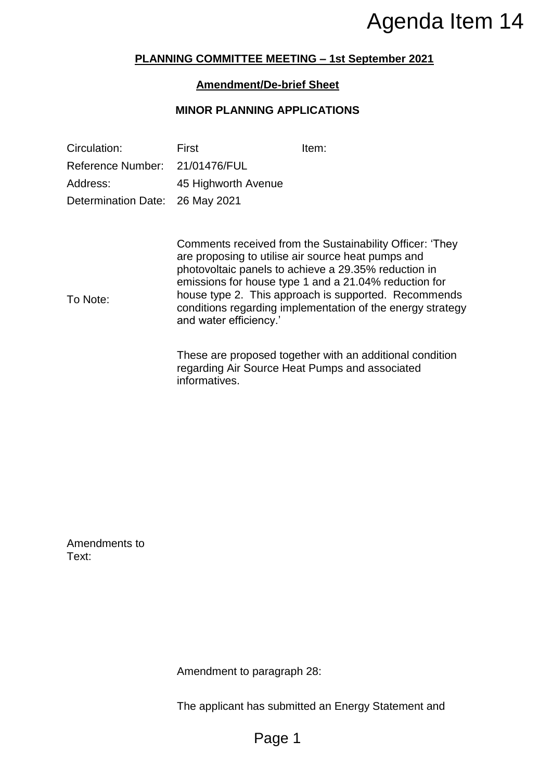## **PLANNING COMMITTEE MEETING – 1st September 2021**

## **Amendment/De-brief Sheet**

### **MINOR PLANNING APPLICATIONS**

|                                |                                                                                                                                                                                                                                                                                                                                                                                 | Agenda Item 14                                                                                             |  |
|--------------------------------|---------------------------------------------------------------------------------------------------------------------------------------------------------------------------------------------------------------------------------------------------------------------------------------------------------------------------------------------------------------------------------|------------------------------------------------------------------------------------------------------------|--|
|                                |                                                                                                                                                                                                                                                                                                                                                                                 | <b>PLANNING COMMITTEE MEETING - 1st September 2021</b>                                                     |  |
|                                | <b>Amendment/De-brief Sheet</b>                                                                                                                                                                                                                                                                                                                                                 |                                                                                                            |  |
|                                | <b>MINOR PLANNING APPLICATIONS</b>                                                                                                                                                                                                                                                                                                                                              |                                                                                                            |  |
| Circulation:                   | First                                                                                                                                                                                                                                                                                                                                                                           | Item:                                                                                                      |  |
| Reference Number: 21/01476/FUL |                                                                                                                                                                                                                                                                                                                                                                                 |                                                                                                            |  |
| Address:                       | 45 Highworth Avenue                                                                                                                                                                                                                                                                                                                                                             |                                                                                                            |  |
| <b>Determination Date:</b>     | 26 May 2021                                                                                                                                                                                                                                                                                                                                                                     |                                                                                                            |  |
| To Note:                       | Comments received from the Sustainability Officer: 'They<br>are proposing to utilise air source heat pumps and<br>photovoltaic panels to achieve a 29.35% reduction in<br>emissions for house type 1 and a 21.04% reduction for<br>house type 2. This approach is supported. Recommends<br>conditions regarding implementation of the energy strategy<br>and water efficiency.' |                                                                                                            |  |
|                                | informatives.                                                                                                                                                                                                                                                                                                                                                                   | These are proposed together with an additional condition<br>regarding Air Source Heat Pumps and associated |  |
|                                |                                                                                                                                                                                                                                                                                                                                                                                 |                                                                                                            |  |
|                                |                                                                                                                                                                                                                                                                                                                                                                                 |                                                                                                            |  |
|                                |                                                                                                                                                                                                                                                                                                                                                                                 |                                                                                                            |  |
| Amendments to<br>Text:         |                                                                                                                                                                                                                                                                                                                                                                                 |                                                                                                            |  |
|                                |                                                                                                                                                                                                                                                                                                                                                                                 |                                                                                                            |  |
|                                |                                                                                                                                                                                                                                                                                                                                                                                 |                                                                                                            |  |
|                                | Amendment to paragraph 28:                                                                                                                                                                                                                                                                                                                                                      |                                                                                                            |  |
|                                |                                                                                                                                                                                                                                                                                                                                                                                 | The applicant has submitted an Energy Statement and                                                        |  |
|                                | Page 1                                                                                                                                                                                                                                                                                                                                                                          |                                                                                                            |  |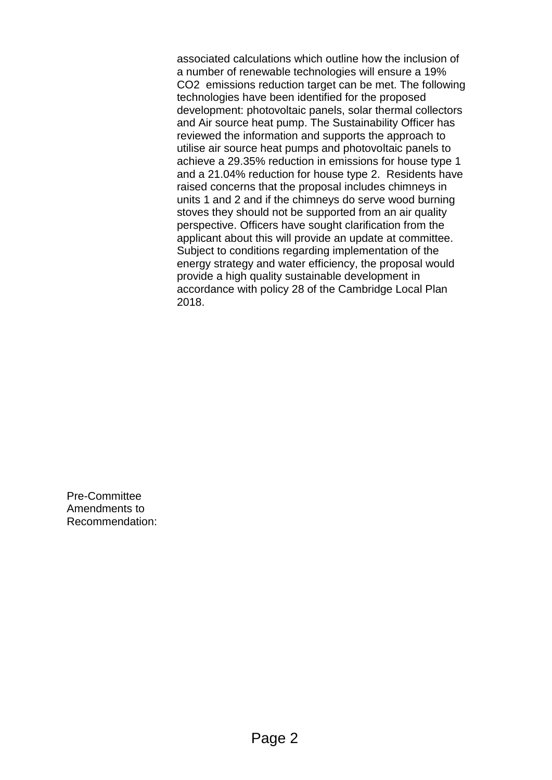associated calculations which outline how the inclusion of a number of renewable technologies will ensure a 19% CO2 emissions reduction target can be met. The following technologies have been identified for the proposed development: photovoltaic panels, solar thermal collectors and Air source heat pump. The Sustainability Officer has reviewed the information and supports the approach to utilise air source heat pumps and photovoltaic panels to achieve a 29.35% reduction in emissions for house type 1 and a 21.04% reduction for house type 2. Residents have raised concerns that the proposal includes chimneys in units 1 and 2 and if the chimneys do serve wood burning stoves they should not be supported from an air quality perspective. Officers have sought clarification from the applicant about this will provide an update at committee. Subject to conditions regarding implementation of the energy strategy and water efficiency, the proposal would provide a high quality sustainable development in accordance with policy 28 of the Cambridge Local Plan 2018.

Pre-Committee Amendments to Recommendation: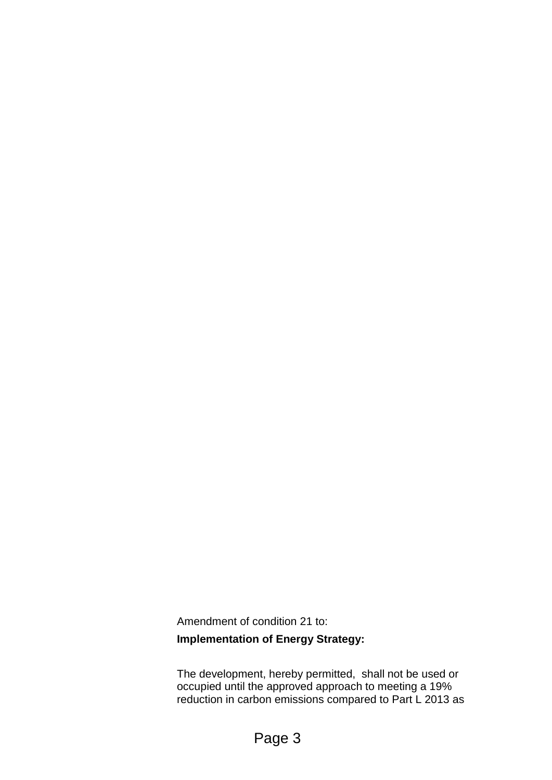Amendment of condition 21 to:

# **Implementation of Energy Strategy:**

The development, hereby permitted, shall not be used or occupied until the approved approach to meeting a 19% reduction in carbon emissions compared to Part L 2013 as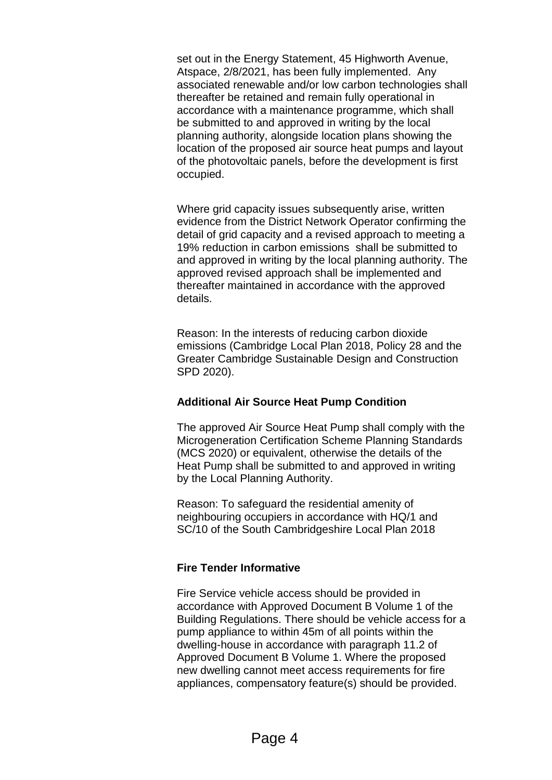set out in the Energy Statement, 45 Highworth Avenue, Atspace, 2/8/2021, has been fully implemented. Any associated renewable and/or low carbon technologies shall thereafter be retained and remain fully operational in accordance with a maintenance programme, which shall be submitted to and approved in writing by the local planning authority, alongside location plans showing the location of the proposed air source heat pumps and layout of the photovoltaic panels, before the development is first occupied.

Where grid capacity issues subsequently arise, written evidence from the District Network Operator confirming the detail of grid capacity and a revised approach to meeting a 19% reduction in carbon emissions shall be submitted to and approved in writing by the local planning authority. The approved revised approach shall be implemented and thereafter maintained in accordance with the approved details.

Reason: In the interests of reducing carbon dioxide emissions (Cambridge Local Plan 2018, Policy 28 and the Greater Cambridge Sustainable Design and Construction SPD 2020).

## **Additional Air Source Heat Pump Condition**

The approved Air Source Heat Pump shall comply with the Microgeneration Certification Scheme Planning Standards (MCS 2020) or equivalent, otherwise the details of the Heat Pump shall be submitted to and approved in writing by the Local Planning Authority.

Reason: To safeguard the residential amenity of neighbouring occupiers in accordance with HQ/1 and SC/10 of the South Cambridgeshire Local Plan 2018

## **Fire Tender Informative**

Fire Service vehicle access should be provided in accordance with Approved Document B Volume 1 of the Building Regulations. There should be vehicle access for a pump appliance to within 45m of all points within the dwelling-house in accordance with paragraph 11.2 of Approved Document B Volume 1. Where the proposed new dwelling cannot meet access requirements for fire appliances, compensatory feature(s) should be provided.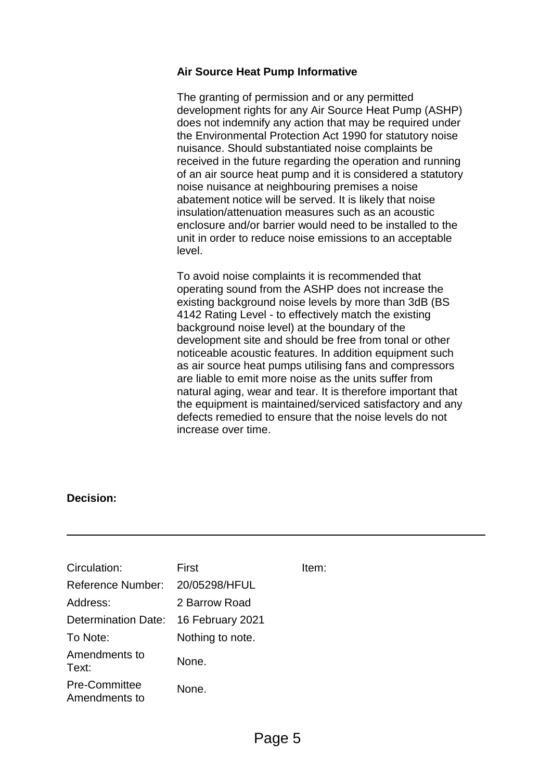## **Air Source Heat Pump Informative**

The granting of permission and or any permitted development rights for any Air Source Heat Pump (ASHP) does not indemnify any action that may be required under the Environmental Protection Act 1990 for statutory noise nuisance. Should substantiated noise complaints be received in the future regarding the operation and running of an air source heat pump and it is considered a statutory noise nuisance at neighbouring premises a noise abatement notice will be served. It is likely that noise insulation/attenuation measures such as an acoustic enclosure and/or barrier would need to be installed to the unit in order to reduce noise emissions to an acceptable level.

To avoid noise complaints it is recommended that operating sound from the ASHP does not increase the existing background noise levels by more than 3dB (BS 4142 Rating Level - to effectively match the existing background noise level) at the boundary of the development site and should be free from tonal or other noticeable acoustic features. In addition equipment such as air source heat pumps utilising fans and compressors are liable to emit more noise as the units suffer from natural aging, wear and tear. It is therefore important that the equipment is maintained/serviced satisfactory and any defects remedied to ensure that the noise levels do not increase over time.

## **Decision:**

| Circulation:                          | First            | Item: |
|---------------------------------------|------------------|-------|
| Reference Number:                     | 20/05298/HFUL    |       |
| Address:                              | 2 Barrow Road    |       |
| Determination Date:                   | 16 February 2021 |       |
| To Note:                              | Nothing to note. |       |
| Amendments to<br>Text:                | None.            |       |
| <b>Pre-Committee</b><br>Amendments to | None.            |       |